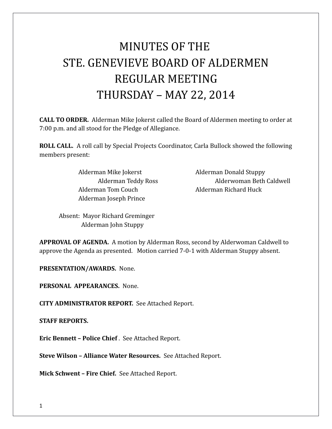# MINUTES OF THE STE. GENEVIEVE BOARD OF ALDERMEN REGULAR MEETING THURSDAY – MAY 22, 2014

**CALL TO ORDER.** Alderman Mike Jokerst called the Board of Aldermen meeting to order at 7:00 p.m. and all stood for the Pledge of Allegiance.

**ROLL CALL.** A roll call by Special Projects Coordinator, Carla Bullock showed the following members present:

> Alderman Mike Jokerst **Alderman Donald Stuppy** Alderman Tom Couch Alderman Richard Huck Alderman Joseph Prince

Alderman Teddy Ross Alderwoman Beth Caldwell

Absent: Mayor Richard Greminger Alderman John Stuppy

**APPROVAL OF AGENDA.** A motion by Alderman Ross, second by Alderwoman Caldwell to approve the Agenda as presented. Motion carried 7-0-1 with Alderman Stuppy absent.

**PRESENTATION/AWARDS.** None.

**PERSONAL APPEARANCES.** None.

**CITY ADMINISTRATOR REPORT.** See Attached Report.

**STAFF REPORTS.** 

**Eric Bennett – Police Chief** . See Attached Report.

**Steve Wilson – Alliance Water Resources.** See Attached Report.

**Mick Schwent – Fire Chief.** See Attached Report.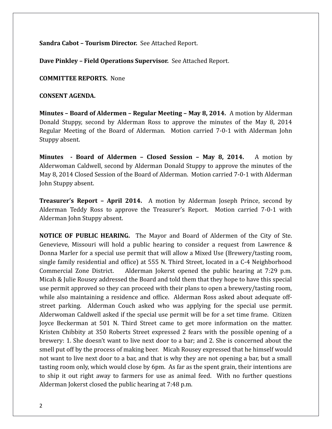**Sandra Cabot – Tourism Director.** See Attached Report.

**Dave Pinkley – Field Operations Supervisor.** See Attached Report.

**COMMITTEE REPORTS.** None

**CONSENT AGENDA.** 

**Minutes – Board of Aldermen – Regular Meeting – May 8, 2014.** A motion by Alderman Donald Stuppy, second by Alderman Ross to approve the minutes of the May 8, 2014 Regular Meeting of the Board of Alderman. Motion carried 7-0-1 with Alderman John Stuppy absent.

**Minutes - Board of Aldermen – Closed Session – May 8, 2014.** A motion by Alderwoman Caldwell, second by Alderman Donald Stuppy to approve the minutes of the May 8, 2014 Closed Session of the Board of Alderman. Motion carried 7-0-1 with Alderman John Stuppy absent.

**Treasurer's Report – April 2014.** A motion by Alderman Joseph Prince, second by Alderman Teddy Ross to approve the Treasurer's Report. Motion carried 7-0-1 with Alderman John Stuppy absent.

**NOTICE OF PUBLIC HEARING.** The Mayor and Board of Aldermen of the City of Ste. Genevieve, Missouri will hold a public hearing to consider a request from Lawrence & Donna Marler for a special use permit that will allow a Mixed Use (Brewery/tasting room, single family residential and office) at 555 N. Third Street, located in a C-4 Neighborhood Commercial Zone District. Alderman Jokerst opened the public hearing at 7:29 p.m. Micah & Julie Rousey addressed the Board and told them that they hope to have this special use permit approved so they can proceed with their plans to open a brewery/tasting room, while also maintaining a residence and office. Alderman Ross asked about adequate offstreet parking. Alderman Couch asked who was applying for the special use permit. Alderwoman Caldwell asked if the special use permit will be for a set time frame. Citizen Joyce Beckerman at 501 N. Third Street came to get more information on the matter. Kristen Chibbity at 350 Roberts Street expressed 2 fears with the possible opening of a brewery: 1. She doesn't want to live next door to a bar; and 2. She is concerned about the smell put off by the process of making beer. Micah Rousey expressed that he himself would not want to live next door to a bar, and that is why they are not opening a bar, but a small tasting room only, which would close by 6pm. As far as the spent grain, their intentions are to ship it out right away to farmers for use as animal feed. With no further questions Alderman Jokerst closed the public hearing at 7:48 p.m.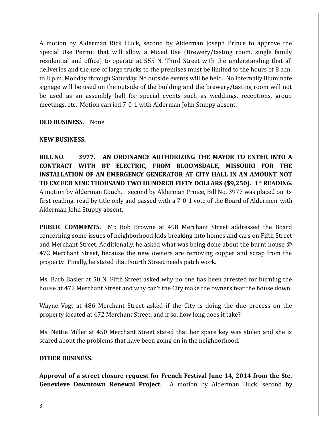A motion by Alderman Rick Huck, second by Alderman Joseph Prince to approve the Special Use Permit that will allow a Mixed Use (Brewery/tasting room, single family residential and office) to operate at 555 N. Third Street with the understanding that all deliveries and the use of large trucks to the premises must be limited to the hours of 8 a.m. to 8 p.m. Monday through Saturday. No outside events will be held. No internally illuminate signage will be used on the outside of the building and the brewery/tasting room will not be used as an assembly hall for special events such as weddings, receptions, group meetings, etc. Motion carried 7-0-1 with Alderman John Stuppy absent.

#### **OLD BUSINESS.** None.

### **NEW BUSINESS.**

**BILL NO. 3977. AN ORDINANCE AUTHORIZING THE MAYOR TO ENTER INTO A CONTRACT WITH BT ELECTRIC, FROM BLOOMSDALE, MISSOURI FOR THE INSTALLATION OF AN EMERGENCY GENERATOR AT CITY HALL IN AN AMOUNT NOT TO EXCEED NINE THOUSAND TWO HUNDRED FIFTY DOLLARS (\$9,250). 1st READING.** A motion by Alderman Couch, second by Alderman Prince, Bill No. 3977 was placed on its first reading, read by title only and passed with a 7-0-1 vote of the Board of Aldermen with Alderman John Stuppy absent.

**PUBLIC COMMENTS.** Mr. Bob Browne at 498 Merchant Street addressed the Board concerning some issues of neighborhood kids breaking into homes and cars on Fifth Street and Merchant Street. Additionally, he asked what was being done about the burnt house @ 472 Merchant Street, because the new owners are removing copper and scrap from the property. Finally, he stated that Fourth Street needs patch work.

Ms. Barb Basler at 50 N. Fifth Street asked why no one has been arrested for burning the house at 472 Merchant Street and why can't the City make the owners tear the house down.

Wayne Vogt at 486 Merchant Street asked if the City is doing the due process on the property located at 472 Merchant Street, and if so, how long does it take?

Ms. Nettie Miller at 450 Merchant Street stated that her spare key was stolen and she is scared about the problems that have been going on in the neighborhood.

## **OTHER BUSINESS.**

**Approval of a street closure request for French Festival June 14, 2014 from the Ste. Genevieve Downtown Renewal Project.** A motion by Alderman Huck, second by